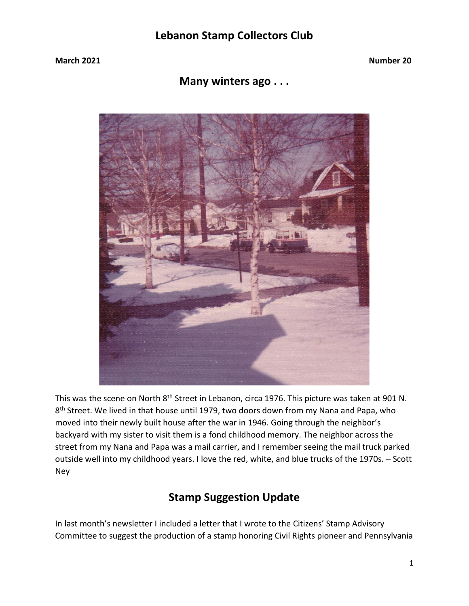**Many winters ago . . .** 



This was the scene on North 8<sup>th</sup> Street in Lebanon, circa 1976. This picture was taken at 901 N. 8<sup>th</sup> Street. We lived in that house until 1979, two doors down from my Nana and Papa, who moved into their newly built house after the war in 1946. Going through the neighbor's backyard with my sister to visit them is a fond childhood memory. The neighbor across the street from my Nana and Papa was a mail carrier, and I remember seeing the mail truck parked outside well into my childhood years. I love the red, white, and blue trucks of the 1970s. – Scott Ney

### **Stamp Suggestion Update**

In last month's newsletter I included a letter that I wrote to the Citizens' Stamp Advisory Committee to suggest the production of a stamp honoring Civil Rights pioneer and Pennsylvania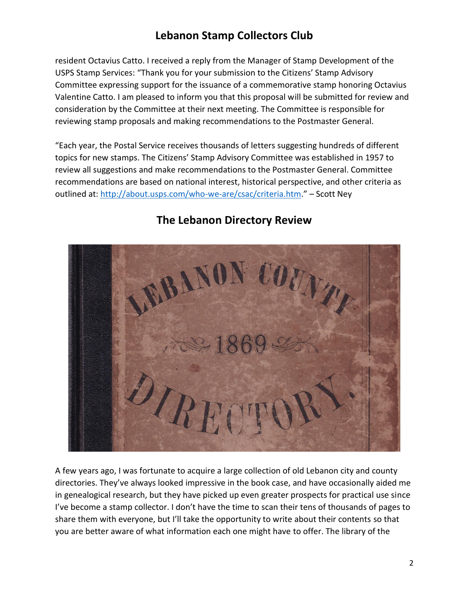resident Octavius Catto. I received a reply from the Manager of Stamp Development of the USPS Stamp Services: "Thank you for your submission to the Citizens' Stamp Advisory Committee expressing support for the issuance of a commemorative stamp honoring Octavius Valentine Catto. I am pleased to inform you that this proposal will be submitted for review and consideration by the Committee at their next meeting. The Committee is responsible for reviewing stamp proposals and making recommendations to the Postmaster General.

"Each year, the Postal Service receives thousands of letters suggesting hundreds of different topics for new stamps. The Citizens' Stamp Advisory Committee was established in 1957 to review all suggestions and make recommendations to the Postmaster General. Committee recommendations are based on national interest, historical perspective, and other criteria as outlined at:<http://about.usps.com/who-we-are/csac/criteria.htm>." – Scott Ney



### **The Lebanon Directory Review**

A few years ago, I was fortunate to acquire a large collection of old Lebanon city and county directories. They've always looked impressive in the book case, and have occasionally aided me in genealogical research, but they have picked up even greater prospects for practical use since I've become a stamp collector. I don't have the time to scan their tens of thousands of pages to share them with everyone, but I'll take the opportunity to write about their contents so that you are better aware of what information each one might have to offer. The library of the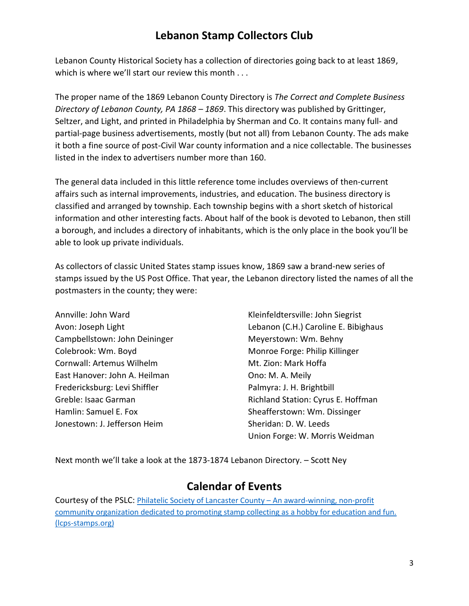Lebanon County Historical Society has a collection of directories going back to at least 1869, which is where we'll start our review this month . . .

The proper name of the 1869 Lebanon County Directory is *The Correct and Complete Business Directory of Lebanon County, PA 1868 – 1869*. This directory was published by Grittinger, Seltzer, and Light, and printed in Philadelphia by Sherman and Co. It contains many full- and partial-page business advertisements, mostly (but not all) from Lebanon County. The ads make it both a fine source of post-Civil War county information and a nice collectable. The businesses listed in the index to advertisers number more than 160.

The general data included in this little reference tome includes overviews of then-current affairs such as internal improvements, industries, and education. The business directory is classified and arranged by township. Each township begins with a short sketch of historical information and other interesting facts. About half of the book is devoted to Lebanon, then still a borough, and includes a directory of inhabitants, which is the only place in the book you'll be able to look up private individuals.

As collectors of classic United States stamp issues know, 1869 saw a brand-new series of stamps issued by the US Post Office. That year, the Lebanon directory listed the names of all the postmasters in the county; they were:

Campbellstown: John Deininger **Meyerstown: Wm. Behny** Colebrook: Wm. Boyd **Monroe Forge: Philip Killinger** Monroe Forge: Philip Killinger Cornwall: Artemus Wilhelm Museum Mt. Zion: Mark Hoffa East Hanover: John A. Heilman Christian Muslem Christ M. A. Meily Fredericksburg: Levi Shiffler Palmyra: J. H. Brightbill Hamlin: Samuel E. Fox Sheafferstown: Wm. Dissinger Jonestown: J. Jefferson Heim Sheridan: D. W. Leeds

Annville: John Ward Kleinfeldtersville: John Siegrist Avon: Joseph Light Lebanon (C.H.) Caroline E. Bibighaus Greble: Isaac Garman **Exercise Station: Cyrus E. Hoffman** Union Forge: W. Morris Weidman

Next month we'll take a look at the 1873-1874 Lebanon Directory. – Scott Ney

#### **Calendar of Events**

Courtesy of the PSLC: [Philatelic Society of Lancaster County](https://lcps-stamps.org/) – An award-winning, non-profit [community organization dedicated to promoting stamp collecting as a hobby for education and fun.](https://lcps-stamps.org/)  [\(lcps-stamps.org\)](https://lcps-stamps.org/)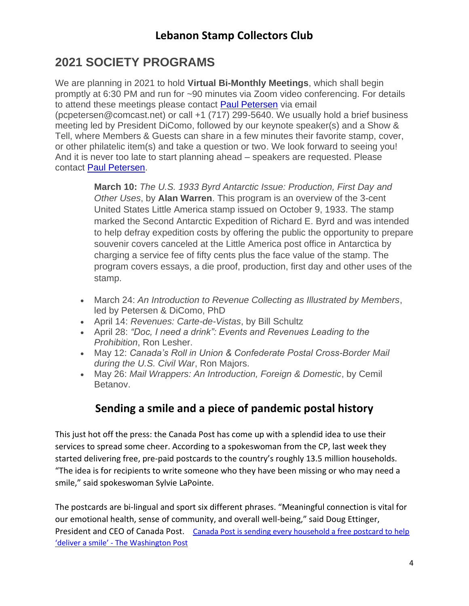# **2021 SOCIETY PROGRAMS**

We are planning in 2021 to hold **Virtual Bi-Monthly Meetings**, which shall begin promptly at 6:30 PM and run for ~90 minutes via Zoom video conferencing. For details to attend these meetings please contact [Paul Petersen](mailto:pcpetersen@comcast.net) via email (pcpetersen@comcast.net) or call +1 (717) 299-5640. We usually hold a brief business meeting led by President DiComo, followed by our keynote speaker(s) and a Show & Tell, where Members & Guests can share in a few minutes their favorite stamp, cover, or other philatelic item(s) and take a question or two. We look forward to seeing you! And it is never too late to start planning ahead – speakers are requested. Please contact [Paul Petersen.](mailto:pcpetersen@comcast.net)

> **March 10:** *The U.S. 1933 Byrd Antarctic Issue: Production, First Day and Other Uses*, by **Alan Warren**. This program is an overview of the 3-cent United States Little America stamp issued on October 9, 1933. The stamp marked the Second Antarctic Expedition of Richard E. Byrd and was intended to help defray expedition costs by offering the public the opportunity to prepare souvenir covers canceled at the Little America post office in Antarctica by charging a service fee of fifty cents plus the face value of the stamp. The program covers essays, a die proof, production, first day and other uses of the stamp.

- March 24: *An Introduction to Revenue Collecting as Illustrated by Members*, led by Petersen & DiComo, PhD
- April 14: *Revenues: Carte-de-Vistas*, by Bill Schultz
- April 28: *"Doc, I need a drink": Events and Revenues Leading to the Prohibition*, Ron Lesher.
- May 12: *Canada's Roll in Union & Confederate Postal Cross-Border Mail during the U.S. Civil War*, Ron Majors.
- May 26: *Mail Wrappers: An Introduction, Foreign & Domestic*, by Cemil Betanov.

## **Sending a smile and a piece of pandemic postal history**

This just hot off the press: the Canada Post has come up with a splendid idea to use their services to spread some cheer. According to a spokeswoman from the CP, last week they started delivering free, pre-paid postcards to the country's roughly 13.5 million households. "The idea is for recipients to write someone who they have been missing or who may need a smile," said spokeswoman Sylvie LaPointe.

The postcards are bi-lingual and sport six different phrases. "Meaningful connection is vital for our emotional health, sense of community, and overall well-being," said Doug Ettinger, President and CEO of Canada Post. [Canada Post is sending every household a free postcard to help](https://www.washingtonpost.com/world/2021/03/07/canada-post-is-sending-every-household-free-postcard-help-deliver-smile/)  'deliver a smile' - [The Washington Post](https://www.washingtonpost.com/world/2021/03/07/canada-post-is-sending-every-household-free-postcard-help-deliver-smile/)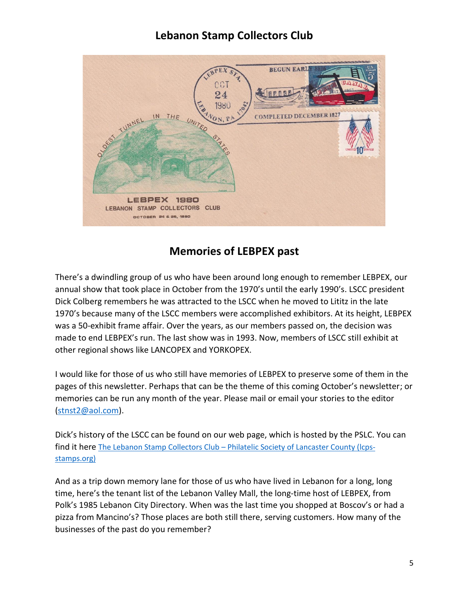

#### **Memories of LEBPEX past**

There's a dwindling group of us who have been around long enough to remember LEBPEX, our annual show that took place in October from the 1970's until the early 1990's. LSCC president Dick Colberg remembers he was attracted to the LSCC when he moved to Lititz in the late 1970's because many of the LSCC members were accomplished exhibitors. At its height, LEBPEX was a 50-exhibit frame affair. Over the years, as our members passed on, the decision was made to end LEBPEX's run. The last show was in 1993. Now, members of LSCC still exhibit at other regional shows like LANCOPEX and YORKOPEX.

I would like for those of us who still have memories of LEBPEX to preserve some of them in the pages of this newsletter. Perhaps that can be the theme of this coming October's newsletter; or memories can be run any month of the year. Please mail or email your stories to the editor [\(stnst2@aol.com\)](mailto:stnst2@aol.com).

Dick's history of the LSCC can be found on our web page, which is hosted by the PSLC. You can find it here The Lebanon Stamp Collectors Club – [Philatelic Society of Lancaster County \(lcps](https://lcps-stamps.org/newsletter-archive/lebanon-stamp-collectors-club/)[stamps.org\)](https://lcps-stamps.org/newsletter-archive/lebanon-stamp-collectors-club/)

And as a trip down memory lane for those of us who have lived in Lebanon for a long, long time, here's the tenant list of the Lebanon Valley Mall, the long-time host of LEBPEX, from Polk's 1985 Lebanon City Directory. When was the last time you shopped at Boscov's or had a pizza from Mancino's? Those places are both still there, serving customers. How many of the businesses of the past do you remember?